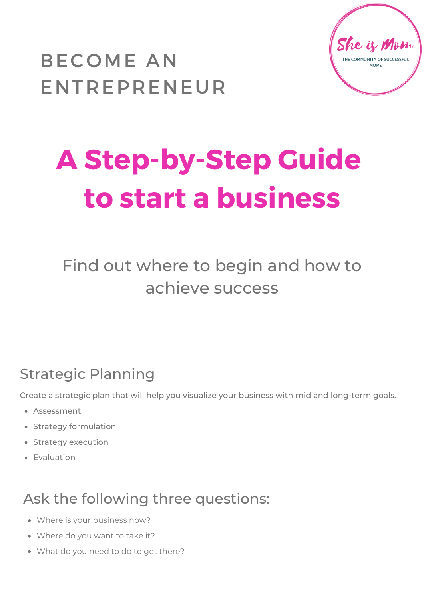



# **A Step-by-Step Guide to start a business**

Find out where to begin and how to achieve success

# Strategic Planning

Create a strategic plan that will help you visualize your business with mid and long-term goals.

- Assessment
- Strategy formulation
- Strategy execution
- Evaluation

# Ask the following three questions:

- Where is your business now?
- Where do you want to take it?
- What do you need to do to get there?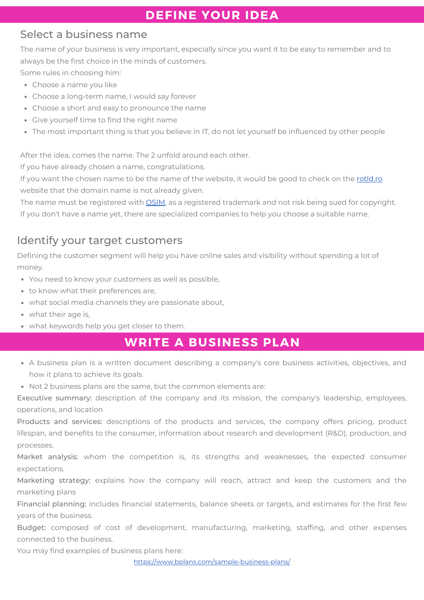## **DEFINE YOUR IDEA**

## Select a business name

The name of your business is very important, especially since you want it to be easy to remember and to always be the first choice in the minds of customers.

Some rules in choosing him:

- Choose a name you like
- Choose a long-term name, I would say forever
- Choose a short and easy to pronounce the name
- Give yourself time to find the right name
- The most important thing is that you believe in IT, do not let yourself be influenced by other people

After the idea, comes the name. The 2 unfold around each other.

If you have already chosen a name, congratulations.

If you want the chosen name to be the name of the website, it would be good to check on the [rotld.ro](https://www.rotld.ro/home/) website that the domain name is not already given.

The name must be registered with [OSIM,](https://osim.ro/en/home/) as a registered trademark and not risk being sued for copyright. If you don't have a name yet, there are specialized companies to help you choose a suitable name.

## Identify your target customers

Defining the customer segment will help you have online sales and visibility without spending a lot of money.

- You need to know your customers as well as possible,
- to know what their preferences are,
- what social media channels they are passionate about,
- what their age is,
- what keywords help you get closer to them.

## **WRITE A BUSINESS PLAN**

- A business plan is a written document describing a company's core business activities, objectives, and how it plans to achieve its goals.
- Not 2 business plans are the same, but the common elements are:

Executive summary: description of the company and its mission, the company's leadership, employees, operations, and location

Products and services: descriptions of the products and services, the company offers pricing, product lifespan, and benefits to the consumer, information about research and development (R&D), production, and processes.

Market analysis: whom the competition is, its strengths and weaknesses, the expected consumer expectations.

Marketing strategy: explains how the company will reach, attract and keep the customers and the marketing plans

Financial planning: includes financial statements, balance sheets or targets, and estimates for the first few years of the business.

Budget: composed of cost of development, manufacturing, marketing, staffing, and other expenses connected to the business.

You may find examples of business plans here:

<https://www.bplans.com/sample-business-plans/>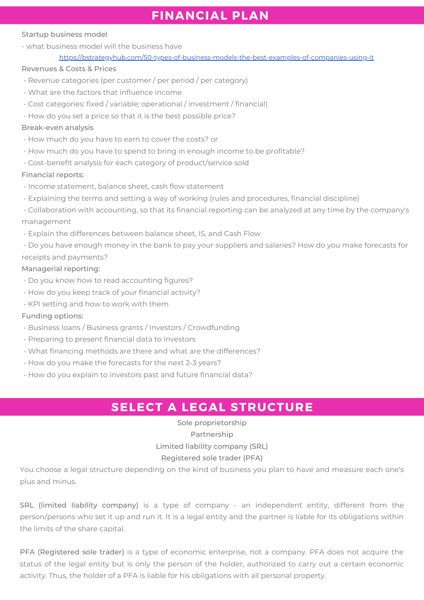## **FINANCIAL PLAN**

## Startup business model

- what business model will the business have

[https://bstrategyhub.com/50-types-of-business-models-the-best-examples-of-companies-using-it](https://bstrategyhub.com/50-types-of-business-models-the-best-examples-of-companies-using-it/)

#### Revenues & Costs & Prices

- Revenue categories (per customer / per period / per category)
- What are the factors that influence income
- Cost categories: fixed / variable; operational / investment / financial)
- How do you set a price so that it is the best possible price?

## Break-even analysis

- How much do you have to earn to cover the costs? or
- How much do you have to spend to bring in enough income to be profitable?
- Cost-benefit analysis for each category of product/service sold

## Financial reports:

- Income statement, balance sheet, cash flow statement
- Explaining the terms and setting a way of working (rules and procedures, financial discipline)
- Collaboration with accounting, so that its financial reporting can be analyzed at any time by the company's management
- Explain the differences between balance sheet, IS, and Cash Flow
- Do you have enough money in the bank to pay your suppliers and salaries? How do you make forecasts for receipts and payments?

## Managerial reporting:

- Do you know how to read accounting figures?
- How do you keep track of your financial activity?
- KPI setting and how to work with them

#### Funding options:

- Business loans / Business grants / Investors / Crowdfunding
- Preparing to present financial data to investors
- What financing methods are there and what are the differences?
- How do you make the forecasts for the next 2-3 years?
- How do you explain to investors past and future financial data?

## **SELECT A LEGAL STRUCTURE**

Sole proprietorship Partnership Limited liability company (SRL) Registered sole trader (PFA)

You choose a legal structure depending on the kind of business you plan to have and measure each one's plus and minus.

SRL (limited liability company) is a type of company - an independent entity, different from the person/persons who set it up and run it. It is a legal entity and the partner is liable for its obligations within the limits of the share capital.

PFA (Registered sole trader) is a type of economic enterprise, not a company. PFA does not acquire the status of the legal entity but is only the person of the holder, authorized to carry out a certain economic activity. Thus, the holder of a PFA is liable for his obligations with all personal property.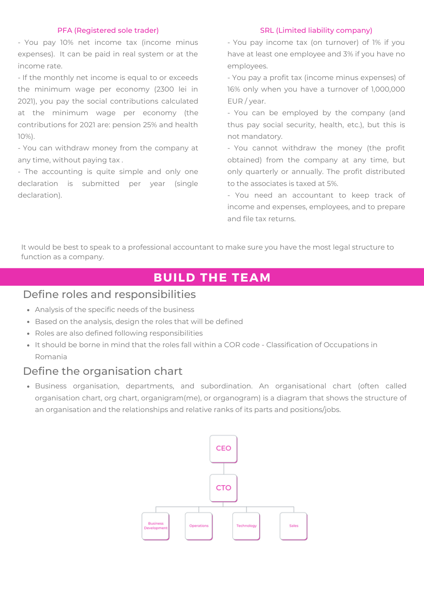#### PFA (Registered sole trader)

- You pay 10% net income tax (income minus expenses). It can be paid in real system or at the income rate.

- If the monthly net income is equal to or exceeds the minimum wage per economy (2300 lei in 2021), you pay the social contributions calculated at the minimum wage per economy (the contributions for 2021 are: pension 25% and health 10%).

- You can withdraw money from the company at any time, without paying tax .

- The accounting is quite simple and only one declaration is submitted per year (single declaration).

#### SRL (Limited liability company)

- You pay income tax (on turnover) of 1% if you have at least one employee and 3% if you have no employees.

- You pay a profit tax (income minus expenses) of 16% only when you have a turnover of 1,000,000 EUR / year.

- You can be employed by the company (and thus pay social security, health, etc.), but this is not mandatory.

- You cannot withdraw the money (the profit obtained) from the company at any time, but only quarterly or annually. The profit distributed to the associates is taxed at 5%.

- You need an accountant to keep track of income and expenses, employees, and to prepare and file tax returns.

It would be best to speak to a professional accountant to make sure you have the most legal structure to function as a company.

## **BUILD THE TEAM**

## Define roles and responsibilities

- Analysis of the specific needs of the business
- Based on the analysis, design the roles that will be defined
- Roles are also defined following responsibilities
- It should be borne in mind that the roles fall within a COR code Classification of Occupations in Romania

## Define the organisation chart

Business organisation, departments, and subordination. An organisational chart (often called organisation chart, org chart, organigram(me), or organogram) is a diagram that shows the structure of an organisation and the relationships and relative ranks of its parts and positions/jobs.

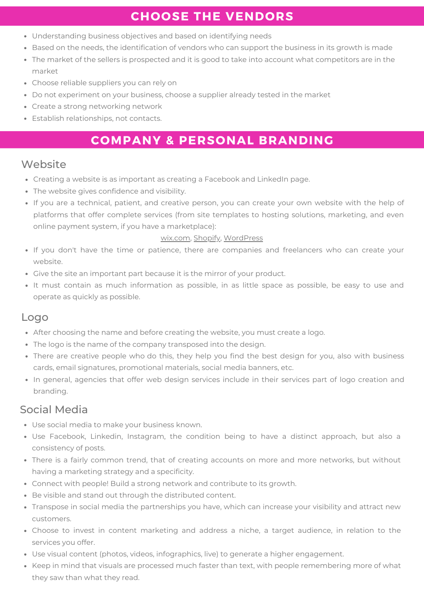## **CHOOSE THE VENDORS**

- Understanding business objectives and based on identifying needs
- Based on the needs, the identification of vendors who can support the business in its growth is made
- The market of the sellers is prospected and it is good to take into account what competitors are in the market
- Choose reliable suppliers you can rely on
- Do not experiment on your business, choose a supplier already tested in the market
- Create a strong networking network
- Establish relationships, not contacts.

## **COMPANY & PERSONAL BRANDING**

## **Website**

- Creating a website is as important as creating a Facebook and LinkedIn page.
- The website gives confidence and visibility.
- If you are a technical, patient, and creative person, you can create your own website with the help of platforms that offer complete services (from site templates to hosting solutions, marketing, and even online payment system, if you have a marketplace):

## [wix.com](https://www.wix.com/), [Shopify,](https://www.shopify.com/) [WordPress](https://wordpress.com/))

- If you don't have the time or patience, there are companies and freelancers who can create your website.
- Give the site an important part because it is the mirror of your product.
- It must contain as much information as possible, in as little space as possible, be easy to use and operate as quickly as possible.

## Logo

- After choosing the name and before creating the website, you must create a logo.
- The logo is the name of the company transposed into the design.
- There are creative people who do this, they help you find the best design for you, also with business cards, email signatures, promotional materials, social media banners, etc.
- In general, agencies that offer web design services include in their services part of logo creation and branding.

## Social Media

- Use social media to make your business known.
- Use Facebook, Linkedin, Instagram, the condition being to have a distinct approach, but also a consistency of posts.
- There is a fairly common trend, that of creating accounts on more and more networks, but without having a marketing strategy and a specificity.
- Connect with people! Build a strong network and contribute to its growth.
- Be visible and stand out through the distributed content.
- Transpose in social media the partnerships you have, which can increase your visibility and attract new customers.
- Choose to invest in content marketing and address a niche, a target audience, in relation to the services you offer.
- Use visual content (photos, videos, infographics, live) to generate a higher engagement.
- Keep in mind that visuals are processed much faster than text, with people remembering more of what they saw than what they read.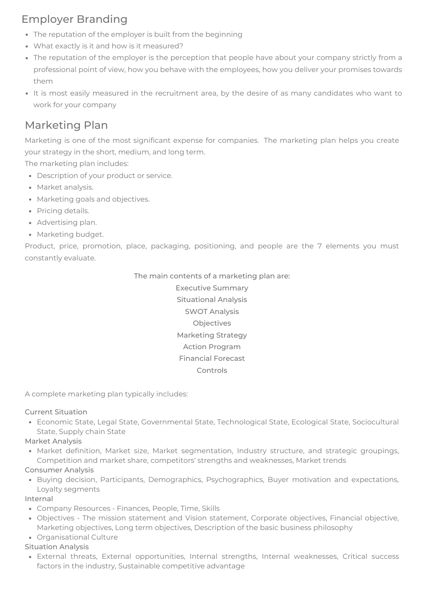## Employer Branding

- The reputation of the employer is built from the beginning
- What exactly is it and how is it measured?
- The reputation of the employer is the perception that people have about your company strictly from a professional point of view, how you behave with the employees, how you deliver your promises towards them
- It is most easily measured in the recruitment area, by the desire of as many candidates who want to work for your company

## Marketing Plan

Marketing is one of the most significant expense for companies. The marketing plan helps you create your strategy in the short, medium, and long term.

The marketing plan includes:

- Description of your product or service.
- Market analysis.
- Marketing goals and objectives.
- Pricing details.
- Advertising plan.
- Marketing budget.

Product, price, promotion, place, packaging, positioning, and people are the 7 elements you must constantly evaluate.

#### The main contents of a marketing plan are:

Executive Summary Situational Analysis SWOT Analysis Objectives Marketing Strategy Action Program Financial Forecast Controls

A complete marketing plan typically includes:

## Current Situation

Economic State, Legal State, Governmental State, Technological State, Ecological State, Sociocultural State, Supply chain State

## Market Analysis

• Market definition, Market size, Market segmentation, Industry structure, and strategic groupings, Competition and market share, competitors' strengths and weaknesses, Market trends

## Consumer Analysis

• Buying decision, Participants, Demographics, Psychographics, Buyer motivation and expectations, Loyalty segments

## Internal

- Company Resources Finances, People, Time, Skills
- Objectives The mission statement and Vision statement, Corporate objectives, Financial objective, Marketing objectives, Long term objectives, Description of the basic business philosophy
- Organisational Culture

#### Situation Analysis

External threats, External opportunities, Internal strengths, Internal weaknesses, Critical success factors in the industry, Sustainable competitive advantage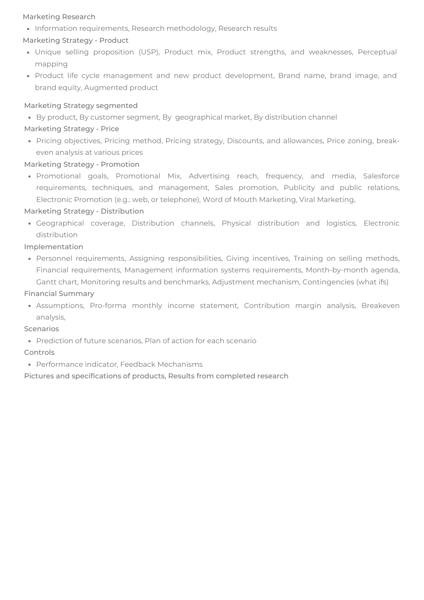## Marketing Research

 $\bullet$  Information requirements, Research methodology, Research results

## Marketing Strategy - Product

- Unique selling proposition (USP), Product mix, Product strengths, and weaknesses, Perceptual mapping
- Product life cycle management and new product development, Brand name, brand image, and brand equity, Augmented product

#### Marketing Strategy segmented

By product, By customer segment, By geographical market, By distribution channel

## Marketing Strategy - Price

Pricing objectives, Pricing method, Pricing strategy, Discounts, and allowances, Price zoning, breakeven analysis at various prices

## Marketing Strategy - Promotion

• Promotional goals, Promotional Mix, Advertising reach, frequency, and media, Salesforce requirements, techniques, and management, Sales promotion, Publicity and public relations, Electronic Promotion (e.g.: web, or telephone), Word of Mouth Marketing, Viral Marketing,

## Marketing Strategy - Distribution

Geographical coverage, Distribution channels, Physical distribution and logistics, Electronic distribution

## Implementation

Personnel requirements, Assigning responsibilities, Giving incentives, Training on selling methods, Financial requirements, Management information systems requirements, Month-by-month agenda, Gantt chart, Monitoring results and benchmarks, Adjustment mechanism, Contingencies (what ifs)

## Financial Summary

Assumptions, Pro-forma monthly income statement, Contribution margin analysis, Breakeven analysis,

#### Scenarios

• Prediction of future scenarios, Plan of action for each scenario

## Controls

Performance indicator, Feedback Mechanisms

Pictures and specifications of products, Results from completed research